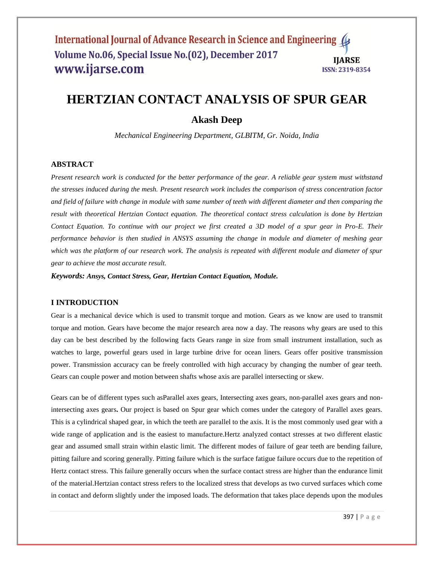# **HERTZIAN CONTACT ANALYSIS OF SPUR GEAR**

## **Akash Deep**

*Mechanical Engineering Department, GLBITM, Gr. Noida, India*

## **ABSTRACT**

*Present research work is conducted for the better performance of the gear. A reliable gear system must withstand the stresses induced during the mesh. Present research work includes the comparison of stress concentration factor and field of failure with change in module with same number of teeth with different diameter and then comparing the result with theoretical Hertzian Contact equation. The theoretical contact stress calculation is done by Hertzian Contact Equation. To continue with our project we first created a 3D model of a spur gear in Pro-E. Their performance behavior is then studied in ANSYS assuming the change in module and diameter of meshing gear which was the platform of our research work. The analysis is repeated with different module and diameter of spur gear to achieve the most accurate result.*

*Keywords: Ansys, Contact Stress, Gear, Hertzian Contact Equation, Module.*

#### **I INTRODUCTION**

Gear is a mechanical device which is used to transmit torque and motion. Gears as we know are used to transmit torque and motion. Gears have become the major research area now a day. The reasons why gears are used to this day can be best described by the following facts Gears range in size from small instrument installation, such as watches to large, powerful gears used in large turbine drive for ocean liners. Gears offer positive transmission power. Transmission accuracy can be freely controlled with high accuracy by changing the number of gear teeth. Gears can couple power and motion between shafts whose axis are parallel intersecting or skew.

Gears can be of different types such asParallel axes gears, Intersecting axes gears, non-parallel axes gears and nonintersecting axes gears**.** Our project is based on Spur gear which comes under the category of Parallel axes gears. This is a cylindrical shaped gear, in which the teeth are parallel to the axis. It is the most commonly used gear with a wide range of application and is the easiest to manufacture.Hertz analyzed contact stresses at two different elastic gear and assumed small strain within elastic limit. The different modes of failure of gear teeth are bending failure, pitting failure and scoring generally. Pitting failure which is the surface fatigue failure occurs due to the repetition of Hertz contact stress. This failure generally occurs when the surface contact stress are higher than the endurance limit of the material.Hertzian contact stress refers to the localized stress that develops as two curved surfaces which come in contact and deform slightly under the imposed loads. The deformation that takes place depends upon the modules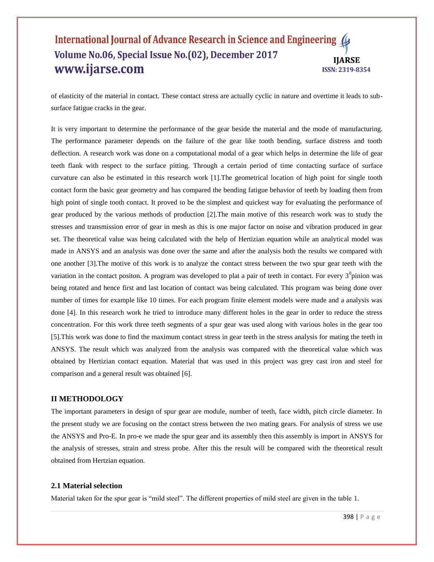of elasticity of the material in contact. These contact stress are actually cyclic in nature and overtime it leads to subsurface fatigue cracks in the gear.

It is very important to determine the performance of the gear beside the material and the mode of manufacturing. The performance parameter depends on the failure of the gear like tooth bending, surface distress and tooth deflection. A research work was done on a computational modal of a gear which helps in determine the life of gear teeth flank with respect to the surface pitting. Through a certain period of time contacting surface of surface curvature can also be estimated in this research work [1].The geometrical location of high point for single tooth contact form the basic gear geometry and has compared the bending fatigue behavior of teeth by loading them from high point of single tooth contact. It proved to be the simplest and quickest way for evaluating the performance of gear produced by the various methods of production [2].The main motive of this research work was to study the stresses and transmission error of gear in mesh as this is one major factor on noise and vibration produced in gear set. The theoretical value was being calculated with the help of Hertizian equation while an analytical model was made in ANSYS and an analysis was done over the same and after the analysis both the results we compared with one another [3].The motive of this work is to analyze the contact stress between the two spur gear teeth with the variation in the contact positon. A program was developed to plat a pair of teeth in contact. For every  $3^0$ pinion was being rotated and hence first and last location of contact was being calculated. This program was being done over number of times for example like 10 times. For each program finite element models were made and a analysis was done [4]. In this research work he tried to introduce many different holes in the gear in order to reduce the stress concentration. For this work three teeth segments of a spur gear was used along with various holes in the gear too [5].This work was done to find the maximum contact stress in gear teeth in the stress analysis for mating the teeth in ANSYS. The result which was analyzed from the analysis was compared with the theoretical value which was obtained by Hertizian contact equation. Material that was used in this project was grey cast iron and steel for comparison and a general result was obtained [6].

#### **II METHODOLOGY**

The important parameters in design of spur gear are module, number of teeth, face width, pitch circle diameter. In the present study we are focusing on the contact stress between the two mating gears. For analysis of stress we use the ANSYS and Pro-E. In pro-e we made the spur gear and its assembly then this assembly is import in ANSYS for the analysis of stresses, strain and stress probe. After this the result will be compared with the theoretical result obtained from Hertzian equation.

#### **2.1 Material selection**

Material taken for the spur gear is "mild steel". The different properties of mild steel are given in the table 1.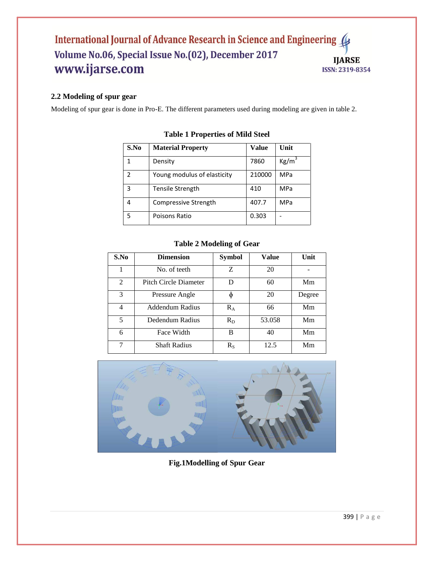## **2.2 Modeling of spur gear**

Modeling of spur gear is done in Pro-E. The different parameters used during modeling are given in table 2.

| S.No | <b>Material Property</b>    | Value  | Unit            |
|------|-----------------------------|--------|-----------------|
| 1    | Density                     | 7860   | $\text{Kg/m}^3$ |
| 2    | Young modulus of elasticity | 210000 | MPa             |
| 3    | <b>Tensile Strength</b>     | 410    | <b>MPa</b>      |
| 4    | Compressive Strength        | 407.7  | MPa             |
| 5    | Poisons Ratio               | 0.303  |                 |

## **Table 1 Properties of Mild Steel**

## **Table 2 Modeling of Gear**

| S.No           | <b>Dimension</b>             | <b>Symbol</b> | Value  | Unit   |
|----------------|------------------------------|---------------|--------|--------|
|                | No. of teeth                 | Ζ             | 20     |        |
| $\overline{2}$ | <b>Pitch Circle Diameter</b> | D             | 60     | Mm     |
| 3              | Pressure Angle               | ф             | 20     | Degree |
| $\overline{4}$ | Addendum Radius              | $R_A$         | 66     | Mm     |
| 5              | Dedendum Radius              | $R_D$         | 53.058 | Mm     |
| 6              | Face Width                   | B             | 40     | Mm     |
| 7              | <b>Shaft Radius</b>          | $R_{S}$       | 12.5   | Mm     |



**Fig.1Modelling of Spur Gear**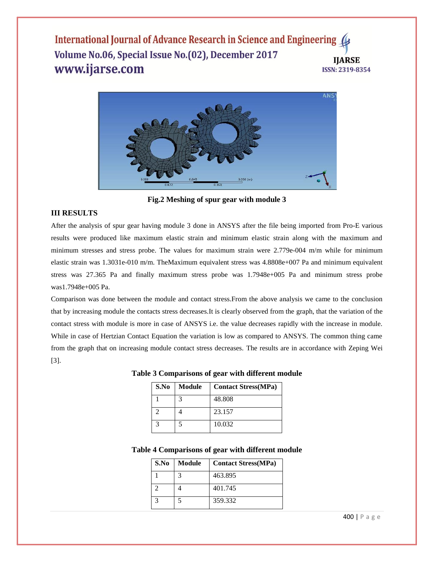

**Fig.2 Meshing of spur gear with module 3**

## **III RESULTS**

After the analysis of spur gear having module 3 done in ANSYS after the file being imported from Pro-E various results were produced like maximum elastic strain and minimum elastic strain along with the maximum and minimum stresses and stress probe. The values for maximum strain were 2.779e-004 m/m while for minimum elastic strain was 1.3031e-010 m/m. TheMaximum equivalent stress was 4.8808e+007 Pa and minimum equivalent stress was 27.365 Pa and finally maximum stress probe was 1.7948e+005 Pa and minimum stress probe was1.7948e+005 Pa.

Comparison was done between the module and contact stress.From the above analysis we came to the conclusion that by increasing module the contacts stress decreases.It is clearly observed from the graph, that the variation of the contact stress with module is more in case of ANSYS i.e. the value decreases rapidly with the increase in module. While in case of Hertzian Contact Equation the variation is low as compared to ANSYS. The common thing came from the graph that on increasing module contact stress decreases. The results are in accordance with Zeping Wei [3].

|  | Table 3 Comparisons of gear with different module                                                                                   |
|--|-------------------------------------------------------------------------------------------------------------------------------------|
|  | $\mathcal{L}$ $\mathbf{N}_0$ $\mathbf{M}_0$ dulo $\mathcal{L}_{\text{contact}}$ $\mathbf{C}_{\text{troce}}(\mathbf{M}\mathbf{D}_0)$ |

| S.No | <b>Module</b> | <b>Contact Stress(MPa)</b> |
|------|---------------|----------------------------|
|      |               | 48.808                     |
|      |               | 23.157                     |
|      |               | 10.032                     |

#### **Table 4 Comparisons of gear with different module**

| S.No | <b>Module</b> | <b>Contact Stress(MPa)</b> |
|------|---------------|----------------------------|
|      |               | 463.895                    |
|      |               | 401.745                    |
|      |               | 359.332                    |